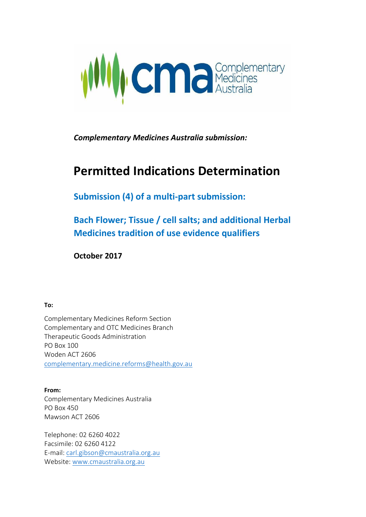

*Complementary Medicines Australia submission:*

# **Permitted Indications Determination**

**Submission (4) of a multi-part submission:**

**Bach Flower; Tissue / cell salts; and additional Herbal Medicines tradition of use evidence qualifiers**

**October 2017**

**To:**

Complementary Medicines Reform Section Complementary and OTC Medicines Branch Therapeutic Goods Administration PO Box 100 Woden ACT 2606 [complementary.medicine.reforms@health.gov.au](mailto:complementary.medicine.reforms@health.gov.au)

**From:** Complementary Medicines Australia PO Box 450 Mawson ACT 2606

Telephone: 02 6260 4022 Facsimile: 02 6260 4122 E-mail: [carl.gibson@cmaustralia.org.au](mailto:carl.gibson@cmaustralia.org.au)  Website: [www.cmaustralia.org.au](http://www.cmaustralia.org.au/)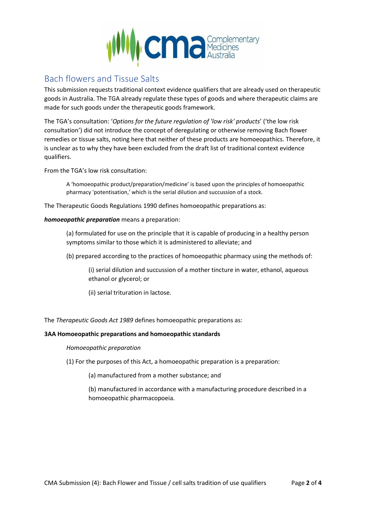

# Bach flowers and Tissue Salts

This submission requests traditional context evidence qualifiers that are already used on therapeutic goods in Australia. The TGA already regulate these types of goods and where therapeutic claims are made for such goods under the therapeutic goods framework.

The TGA's consultation: '*Options for the future regulation of 'low risk' products*' ('the low risk consultation') did not introduce the concept of deregulating or otherwise removing Bach flower remedies or tissue salts, noting here that neither of these products are homoeopathics. Therefore, it is unclear as to why they have been excluded from the draft list of traditional context evidence qualifiers.

From the TGA's low risk consultation:

A 'homoeopathic product/preparation/medicine' is based upon the principles of homoeopathic pharmacy 'potentisation,' which is the serial dilution and succussion of a stock.

The Therapeutic Goods Regulations 1990 defines homoeopathic preparations as:

# *homoeopathic preparation* means a preparation:

(a) formulated for use on the principle that it is capable of producing in a healthy person symptoms similar to those which it is administered to alleviate; and

(b) prepared according to the practices of homoeopathic pharmacy using the methods of:

(i) serial dilution and succussion of a mother tincture in water, ethanol, aqueous ethanol or glycerol; or

(ii) serial trituration in lactose.

The *Therapeutic Goods Act 1989* defines homoeopathic preparations as:

### **3AA Homoeopathic preparations and homoeopathic standards**

*Homoeopathic preparation*

(1) For the purposes of this Act, a homoeopathic preparation is a preparation:

(a) manufactured from a mother substance; and

(b) manufactured in accordance with a manufacturing procedure described in a homoeopathic pharmacopoeia.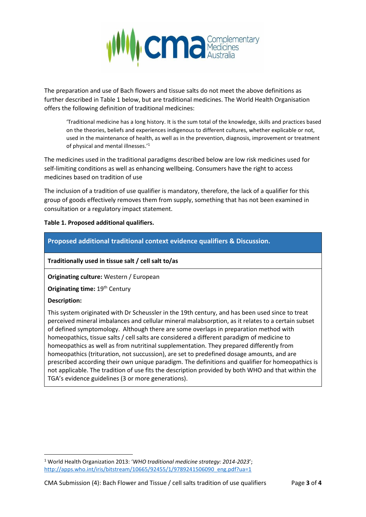

The preparation and use of Bach flowers and tissue salts do not meet the above definitions as further described in Table 1 below, but are traditional medicines. The World Health Organisation offers the following definition of traditional medicines:

'Traditional medicine has a long history. It is the sum total of the knowledge, skills and practices based on the theories, beliefs and experiences indigenous to different cultures, whether explicable or not, used in the maintenance of health, as well as in the prevention, diagnosis, improvement or treatment of physical and mental illnesses.'<sup>1</sup>

The medicines used in the traditional paradigms described below are low risk medicines used for self-limiting conditions as well as enhancing wellbeing. Consumers have the right to access medicines based on tradition of use

The inclusion of a tradition of use qualifier is mandatory, therefore, the lack of a qualifier for this group of goods effectively removes them from supply, something that has not been examined in consultation or a regulatory impact statement.

# **Table 1. Proposed additional qualifiers.**

# **Traditionally used in tissue salt / cell salt to/as**

**Originating culture:** Western / European

**Originating time: 19<sup>th</sup> Century** 

### **Description:**

 $\overline{a}$ 

This system originated with Dr Scheussler in the 19th century, and has been used since to treat perceived mineral imbalances and cellular mineral malabsorption, as it relates to a certain subset of defined symptomology. Although there are some overlaps in preparation method with homeopathics, tissue salts / cell salts are considered a different paradigm of medicine to homeopathics as well as from nutritinal supplementation. They prepared differently from homeopathics (trituration, not succussion), are set to predefined dosage amounts, and are prescribed according their own unique paradigm. The definitions and qualifier for homeopathics is not applicable. The tradition of use fits the description provided by both WHO and that within the TGA's evidence guidelines (3 or more generations).

<sup>1</sup> World Health Organization 2013: '*WHO traditional medicine strategy: 2014-2023*'; [http://apps.who.int/iris/bitstream/10665/92455/1/9789241506090\\_eng.pdf?ua=1](http://apps.who.int/iris/bitstream/10665/92455/1/9789241506090_eng.pdf?ua=1)